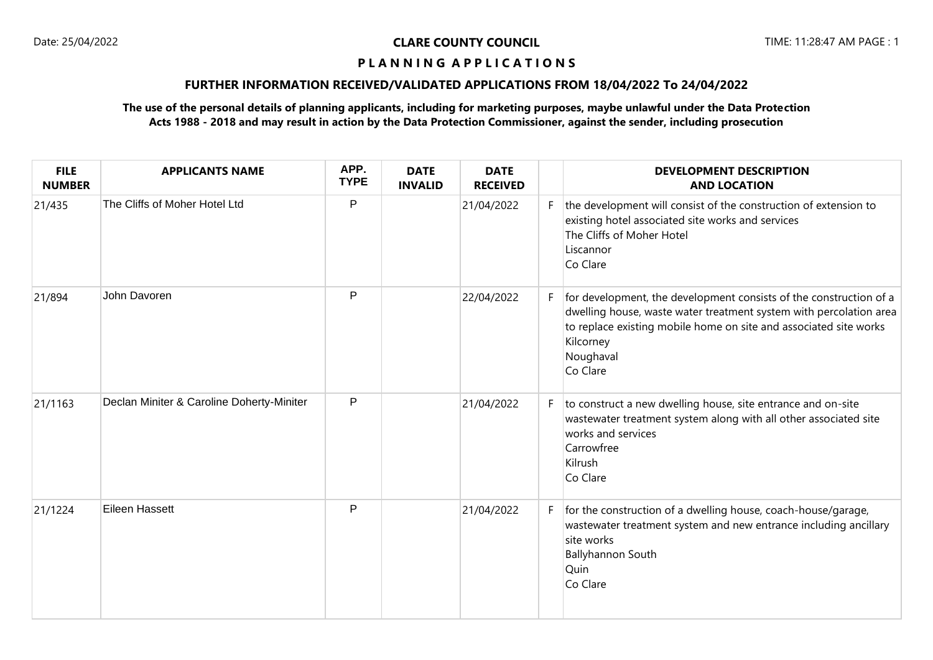# **P L A N N I N G A P P L I C A T I O N S**

# **FURTHER INFORMATION RECEIVED/VALIDATED APPLICATIONS FROM 18/04/2022 To 24/04/2022**

# **The use of the personal details of planning applicants, including for marketing purposes, maybe unlawful under the Data Protection Acts 1988 - 2018 and may result in action by the Data Protection Commissioner, against the sender, including prosecution**

| <b>FILE</b><br><b>NUMBER</b> | <b>APPLICANTS NAME</b>                    | APP.<br><b>TYPE</b> | <b>DATE</b><br><b>INVALID</b> | <b>DATE</b><br><b>RECEIVED</b> |    | <b>DEVELOPMENT DESCRIPTION</b><br><b>AND LOCATION</b>                                                                                                                                                                                               |
|------------------------------|-------------------------------------------|---------------------|-------------------------------|--------------------------------|----|-----------------------------------------------------------------------------------------------------------------------------------------------------------------------------------------------------------------------------------------------------|
| 21/435                       | The Cliffs of Moher Hotel Ltd             | P                   |                               | 21/04/2022                     | F. | the development will consist of the construction of extension to<br>existing hotel associated site works and services<br>The Cliffs of Moher Hotel<br>Liscannor<br>Co Clare                                                                         |
| 21/894                       | John Davoren                              | P                   |                               | 22/04/2022                     | F. | for development, the development consists of the construction of a<br>dwelling house, waste water treatment system with percolation area<br>to replace existing mobile home on site and associated site works<br>Kilcorney<br>Noughaval<br>Co Clare |
| 21/1163                      | Declan Miniter & Caroline Doherty-Miniter | P                   |                               | 21/04/2022                     | F. | to construct a new dwelling house, site entrance and on-site<br>wastewater treatment system along with all other associated site<br>works and services<br>Carrowfree<br>Kilrush<br>Co Clare                                                         |
| 21/1224                      | Eileen Hassett                            | P                   |                               | 21/04/2022                     | F. | for the construction of a dwelling house, coach-house/garage,<br>wastewater treatment system and new entrance including ancillary<br>site works<br>Ballyhannon South<br>Quin<br>Co Clare                                                            |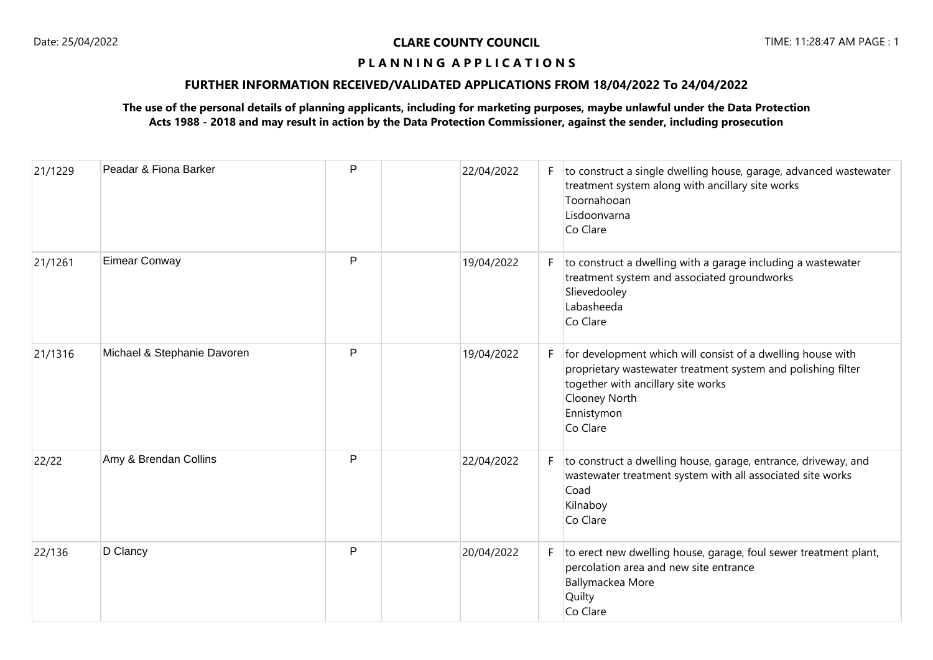# **P L A N N I N G A P P L I C A T I O N S**

# **FURTHER INFORMATION RECEIVED/VALIDATED APPLICATIONS FROM 18/04/2022 To 24/04/2022**

# **The use of the personal details of planning applicants, including for marketing purposes, maybe unlawful under the Data Protection Acts 1988 - 2018 and may result in action by the Data Protection Commissioner, against the sender, including prosecution**

| 21/1229 | Peadar & Fiona Barker       | P | 22/04/2022 | F. | to construct a single dwelling house, garage, advanced wastewater<br>treatment system along with ancillary site works<br>Toornahooan<br>Lisdoonvarna<br>Co Clare                                             |
|---------|-----------------------------|---|------------|----|--------------------------------------------------------------------------------------------------------------------------------------------------------------------------------------------------------------|
| 21/1261 | <b>Eimear Conway</b>        | P | 19/04/2022 | F. | to construct a dwelling with a garage including a wastewater<br>treatment system and associated groundworks<br>Slievedooley<br>Labasheeda<br>Co Clare                                                        |
| 21/1316 | Michael & Stephanie Davoren | P | 19/04/2022 | F. | for development which will consist of a dwelling house with<br>proprietary wastewater treatment system and polishing filter<br>together with ancillary site works<br>Clooney North<br>Ennistymon<br>Co Clare |
| 22/22   | Amy & Brendan Collins       | P | 22/04/2022 | F. | to construct a dwelling house, garage, entrance, driveway, and<br>wastewater treatment system with all associated site works<br>Coad<br>Kilnaboy<br>Co Clare                                                 |
| 22/136  | D Clancy                    | P | 20/04/2022 | F. | to erect new dwelling house, garage, foul sewer treatment plant,<br>percolation area and new site entrance<br>Ballymackea More<br>Quilty<br>Co Clare                                                         |